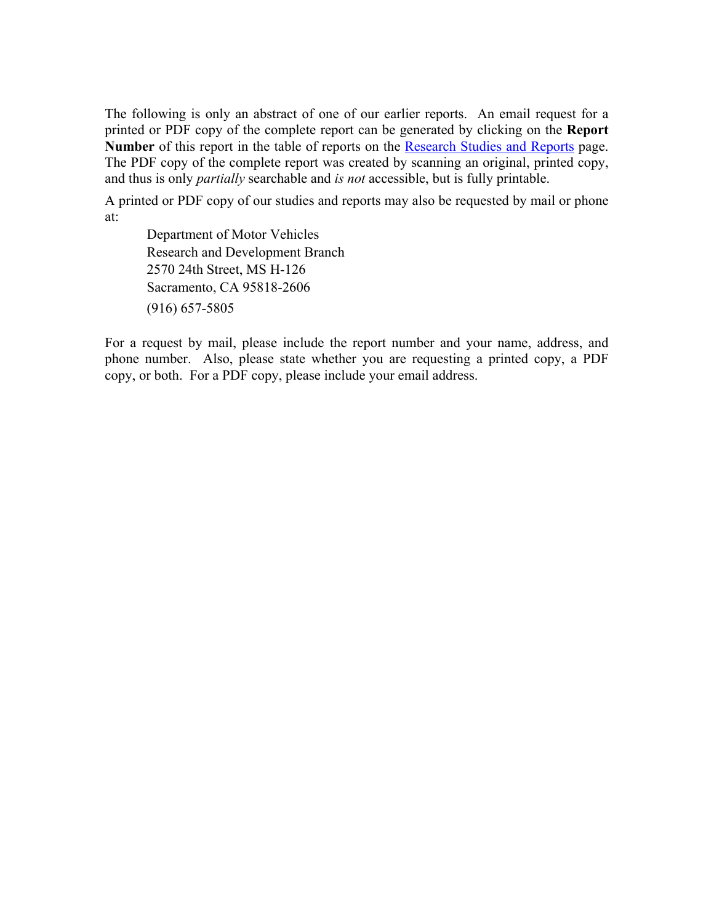The following is only an abstract of one of our earlier reports. An email request for a printed or PDF copy of the complete report can be generated by clicking on the **Report Number** of this report in the table of reports on the [Research Studies and Reports](https://www.dmv.ca.gov/portal/dmv/detail/about/profile/rd/toc) page. The PDF copy of the complete report was created by scanning an original, printed copy, and thus is only *partially* searchable and *is not* accessible, but is fully printable.

A printed or PDF copy of our studies and reports may also be requested by mail or phone at:

Department of Motor Vehicles Research and Development Branch 2570 24th Street, MS H-126 Sacramento, CA 95818-2606 (916) 657-5805

For a request by mail, please include the report number and your name, address, and phone number. Also, please state whether you are requesting a printed copy, a PDF copy, or both. For a PDF copy, please include your email address.